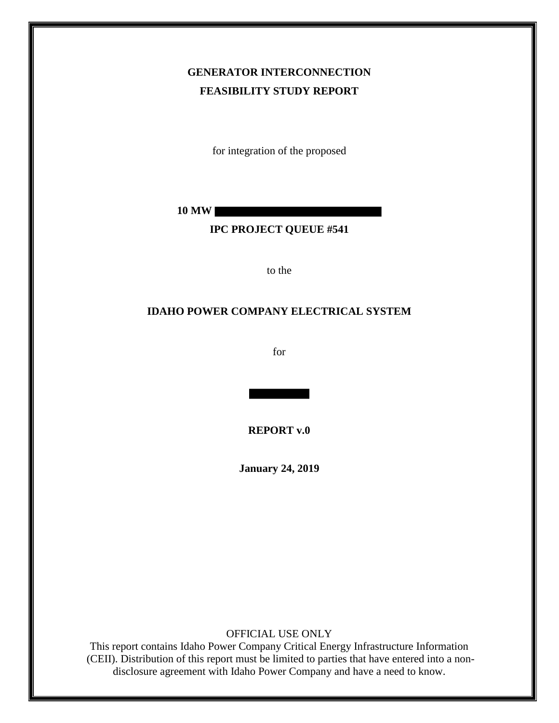# **GENERATOR INTERCONNECTION FEASIBILITY STUDY REPORT**

for integration of the proposed

**10 MW**

### **IPC PROJECT QUEUE #541**

to the

#### **IDAHO POWER COMPANY ELECTRICAL SYSTEM**

for

**REPORT v.0**

**January 24, 2019**

OFFICIAL USE ONLY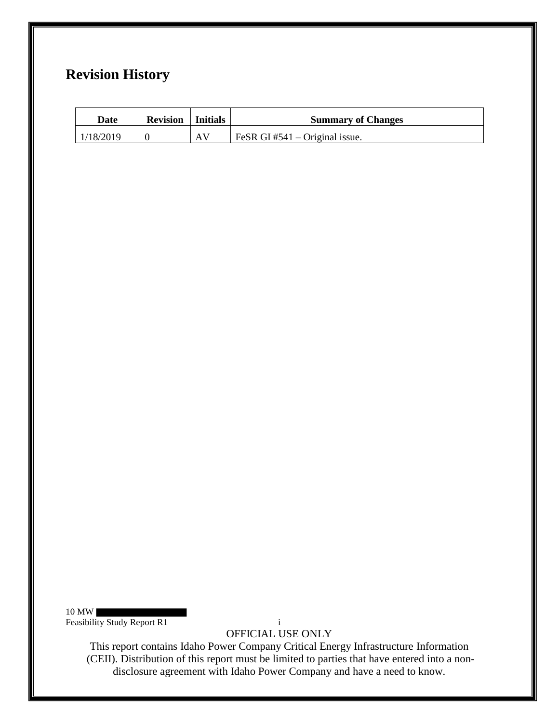# **Revision History**

| Date      | <b>Revision</b>   Initials |    | <b>Summary of Changes</b>      |
|-----------|----------------------------|----|--------------------------------|
| 1/18/2019 |                            | AV | FeSR GI #541 – Original issue. |

10 MW

Feasibility Study Report R1 i

OFFICIAL USE ONLY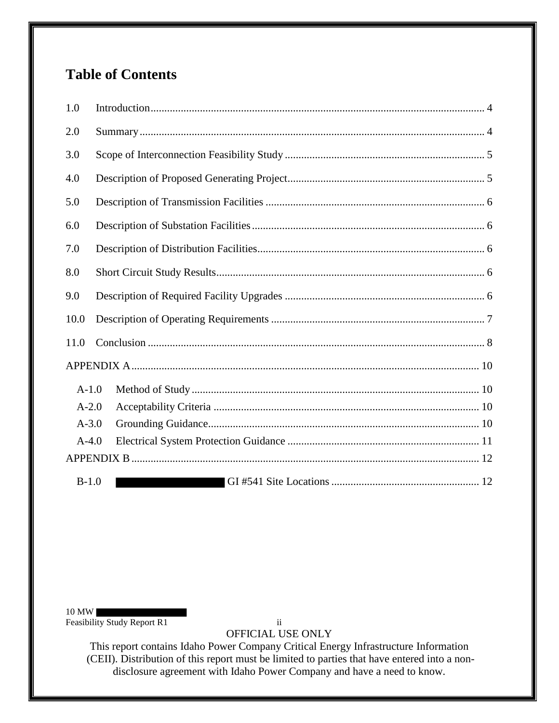# **Table of Contents**

| 1.0     |  |
|---------|--|
| 2.0     |  |
| 3.0     |  |
| 4.0     |  |
| 5.0     |  |
| 6.0     |  |
| 7.0     |  |
| 8.0     |  |
| 9.0     |  |
| 10.0    |  |
| 11.0    |  |
|         |  |
| $A-1.0$ |  |
| $A-2.0$ |  |
| $A-3.0$ |  |
| $A-4.0$ |  |
|         |  |
| $B-1.0$ |  |

10 MW

Feasibility Study Report R1 ii

OFFICIAL USE ONLY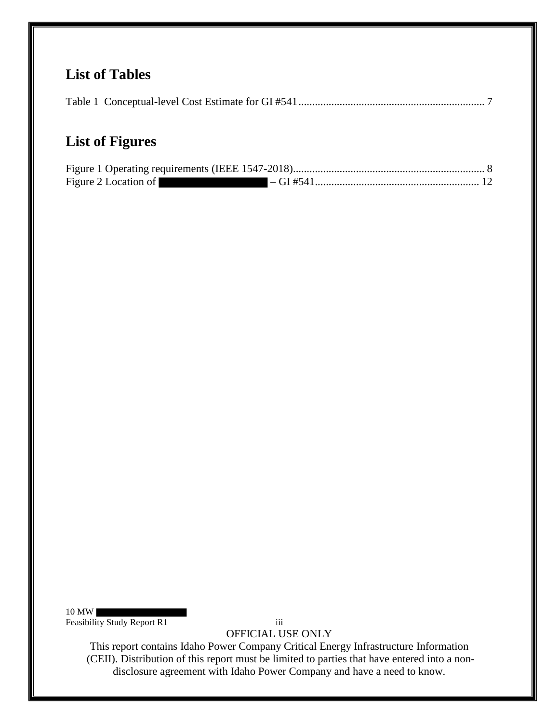# **List of Tables**

|--|--|--|

# **List of Figures**

| Figure 2 Location of |  |
|----------------------|--|

10 MW

Feasibility Study Report R1 iii

OFFICIAL USE ONLY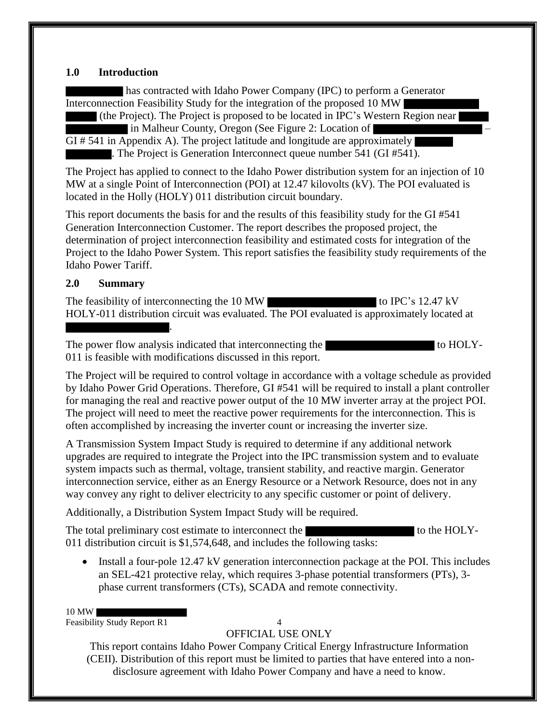### **1.0 Introduction**

has contracted with Idaho Power Company (IPC) to perform a Generator Interconnection Feasibility Study for the integration of the proposed 10 MW

 (the Project). The Project is proposed to be located in IPC's Western Region near in Malheur County, Oregon (See Figure 2: Location of – GI # 541 in Appendix A). The project latitude and longitude are approximately . The Project is Generation Interconnect queue number 541 (GI #541).

The Project has applied to connect to the Idaho Power distribution system for an injection of 10 MW at a single Point of Interconnection (POI) at 12.47 kilovolts (kV). The POI evaluated is located in the Holly (HOLY) 011 distribution circuit boundary.

This report documents the basis for and the results of this feasibility study for the GI #541 Generation Interconnection Customer. The report describes the proposed project, the determination of project interconnection feasibility and estimated costs for integration of the Project to the Idaho Power System. This report satisfies the feasibility study requirements of the Idaho Power Tariff.

## **2.0 Summary**

.

The feasibility of interconnecting the 10 MW to IPC's 12.47 kV HOLY-011 distribution circuit was evaluated. The POI evaluated is approximately located at

The power flow analysis indicated that interconnecting the to HOLY-011 is feasible with modifications discussed in this report.

The Project will be required to control voltage in accordance with a voltage schedule as provided by Idaho Power Grid Operations. Therefore, GI #541 will be required to install a plant controller for managing the real and reactive power output of the 10 MW inverter array at the project POI. The project will need to meet the reactive power requirements for the interconnection. This is often accomplished by increasing the inverter count or increasing the inverter size.

A Transmission System Impact Study is required to determine if any additional network upgrades are required to integrate the Project into the IPC transmission system and to evaluate system impacts such as thermal, voltage, transient stability, and reactive margin. Generator interconnection service, either as an Energy Resource or a Network Resource, does not in any way convey any right to deliver electricity to any specific customer or point of delivery.

Additionally, a Distribution System Impact Study will be required.

The total preliminary cost estimate to interconnect the to the HOLY-011 distribution circuit is \$1,574,648, and includes the following tasks:

• Install a four-pole 12.47 kV generation interconnection package at the POI. This includes an SEL-421 protective relay, which requires 3-phase potential transformers (PTs), 3 phase current transformers (CTs), SCADA and remote connectivity.

10 MW

Feasibility Study Report R1 4

OFFICIAL USE ONLY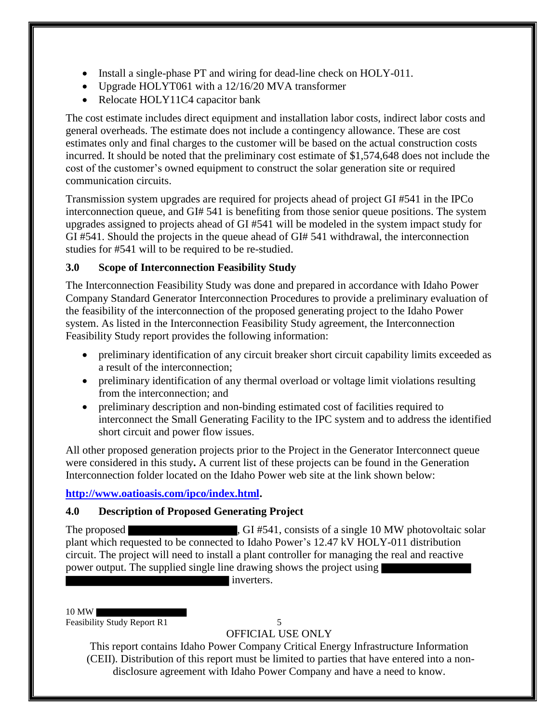- Install a single-phase PT and wiring for dead-line check on HOLY-011.
- Upgrade HOLYT061 with a 12/16/20 MVA transformer
- Relocate HOLY11C4 capacitor bank

The cost estimate includes direct equipment and installation labor costs, indirect labor costs and general overheads. The estimate does not include a contingency allowance. These are cost estimates only and final charges to the customer will be based on the actual construction costs incurred. It should be noted that the preliminary cost estimate of \$1,574,648 does not include the cost of the customer's owned equipment to construct the solar generation site or required communication circuits.

Transmission system upgrades are required for projects ahead of project GI #541 in the IPCo interconnection queue, and GI# 541 is benefiting from those senior queue positions. The system upgrades assigned to projects ahead of GI #541 will be modeled in the system impact study for GI #541. Should the projects in the queue ahead of GI# 541 withdrawal, the interconnection studies for #541 will to be required to be re-studied.

# **3.0 Scope of Interconnection Feasibility Study**

The Interconnection Feasibility Study was done and prepared in accordance with Idaho Power Company Standard Generator Interconnection Procedures to provide a preliminary evaluation of the feasibility of the interconnection of the proposed generating project to the Idaho Power system. As listed in the Interconnection Feasibility Study agreement, the Interconnection Feasibility Study report provides the following information:

- preliminary identification of any circuit breaker short circuit capability limits exceeded as a result of the interconnection;
- preliminary identification of any thermal overload or voltage limit violations resulting from the interconnection; and
- preliminary description and non-binding estimated cost of facilities required to interconnect the Small Generating Facility to the IPC system and to address the identified short circuit and power flow issues.

All other proposed generation projects prior to the Project in the Generator Interconnect queue were considered in this study**.** A current list of these projects can be found in the Generation Interconnection folder located on the Idaho Power web site at the link shown below:

# **http://www.oatioasis.com/ipco/index.html.**

# **4.0 Description of Proposed Generating Project**

The proposed **the subset of the set of the set of the set of the set of a single 10 MW photovoltaic solar** plant which requested to be connected to Idaho Power's 12.47 kV HOLY-011 distribution circuit. The project will need to install a plant controller for managing the real and reactive power output. The supplied single line drawing shows the project using

inverters.

#### 10 MW

Feasibility Study Report R1 5

# OFFICIAL USE ONLY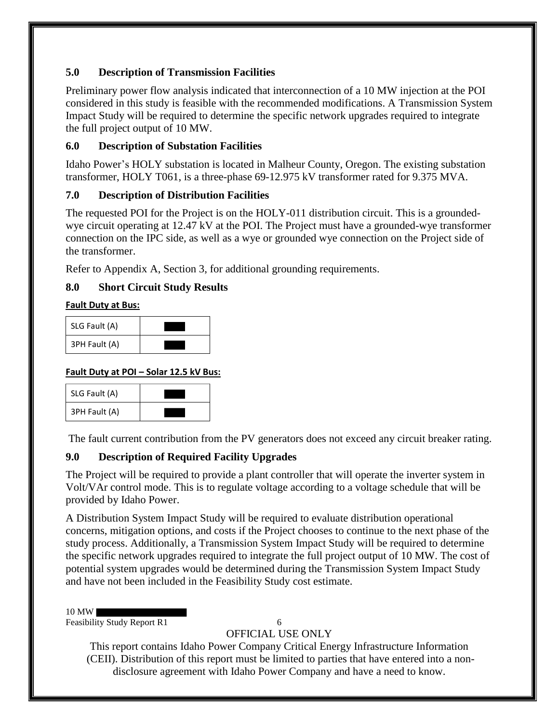# **5.0 Description of Transmission Facilities**

Preliminary power flow analysis indicated that interconnection of a 10 MW injection at the POI considered in this study is feasible with the recommended modifications. A Transmission System Impact Study will be required to determine the specific network upgrades required to integrate the full project output of 10 MW.

# **6.0 Description of Substation Facilities**

Idaho Power's HOLY substation is located in Malheur County, Oregon. The existing substation transformer, HOLY T061, is a three-phase 69-12.975 kV transformer rated for 9.375 MVA.

# **7.0 Description of Distribution Facilities**

The requested POI for the Project is on the HOLY-011 distribution circuit. This is a groundedwye circuit operating at 12.47 kV at the POI. The Project must have a grounded-wye transformer connection on the IPC side, as well as a wye or grounded wye connection on the Project side of the transformer.

Refer to Appendix A, Section 3, for additional grounding requirements.

# **8.0 Short Circuit Study Results**

## **Fault Duty at Bus:**

| SLG Fault (A) |  |
|---------------|--|
| 3PH Fault (A) |  |

# **Fault Duty at POI – Solar 12.5 kV Bus:**

| SLG Fault (A) |  |
|---------------|--|
| 3PH Fault (A) |  |

The fault current contribution from the PV generators does not exceed any circuit breaker rating.

# **9.0 Description of Required Facility Upgrades**

The Project will be required to provide a plant controller that will operate the inverter system in Volt/VAr control mode. This is to regulate voltage according to a voltage schedule that will be provided by Idaho Power.

A Distribution System Impact Study will be required to evaluate distribution operational concerns, mitigation options, and costs if the Project chooses to continue to the next phase of the study process. Additionally, a Transmission System Impact Study will be required to determine the specific network upgrades required to integrate the full project output of 10 MW. The cost of potential system upgrades would be determined during the Transmission System Impact Study and have not been included in the Feasibility Study cost estimate.

### 10 MW

Feasibility Study Report R1 6

# OFFICIAL USE ONLY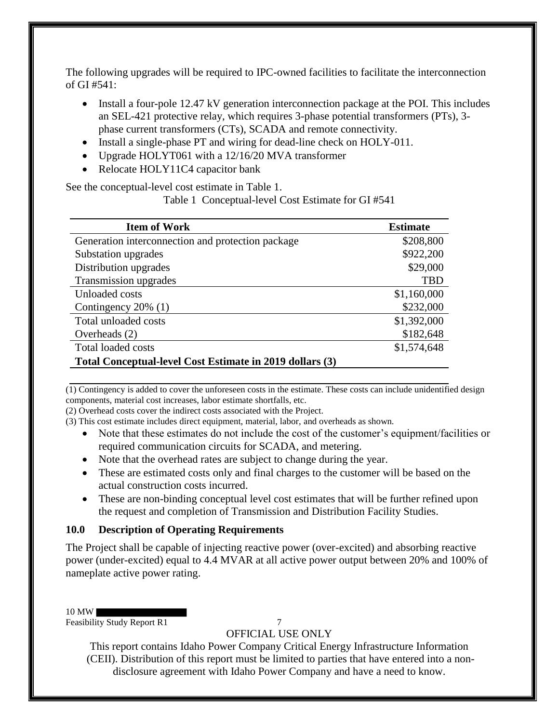The following upgrades will be required to IPC-owned facilities to facilitate the interconnection of GI  $#541$ :

- Install a four-pole 12.47 kV generation interconnection package at the POI. This includes an SEL-421 protective relay, which requires 3-phase potential transformers (PTs), 3 phase current transformers (CTs), SCADA and remote connectivity.
- Install a single-phase PT and wiring for dead-line check on HOLY-011.
- Upgrade HOLYT061 with a 12/16/20 MVA transformer
- Relocate HOLY11C4 capacitor bank

See the conceptual-level cost estimate in Table 1.

Table 1 Conceptual-level Cost Estimate for GI #541

| <b>Item of Work</b>                                      | <b>Estimate</b> |
|----------------------------------------------------------|-----------------|
| Generation interconnection and protection package        | \$208,800       |
| Substation upgrades                                      | \$922,200       |
| Distribution upgrades                                    | \$29,000        |
| Transmission upgrades                                    | <b>TBD</b>      |
| Unloaded costs                                           | \$1,160,000     |
| Contingency 20% (1)                                      | \$232,000       |
| Total unloaded costs                                     | \$1,392,000     |
| Overheads $(2)$                                          | \$182,648       |
| <b>Total loaded costs</b>                                | \$1,574,648     |
| Total Conceptual-level Cost Estimate in 2019 dollars (3) |                 |

(1) Contingency is added to cover the unforeseen costs in the estimate. These costs can include unidentified design components, material cost increases, labor estimate shortfalls, etc.

(2) Overhead costs cover the indirect costs associated with the Project.

(3) This cost estimate includes direct equipment, material, labor, and overheads as shown.

- Note that these estimates do not include the cost of the customer's equipment/facilities or required communication circuits for SCADA, and metering.
- Note that the overhead rates are subject to change during the year.
- These are estimated costs only and final charges to the customer will be based on the actual construction costs incurred.
- These are non-binding conceptual level cost estimates that will be further refined upon the request and completion of Transmission and Distribution Facility Studies.

# **10.0 Description of Operating Requirements**

The Project shall be capable of injecting reactive power (over-excited) and absorbing reactive power (under-excited) equal to 4.4 MVAR at all active power output between 20% and 100% of nameplate active power rating.

10 MW

Feasibility Study Report R1 7

OFFICIAL USE ONLY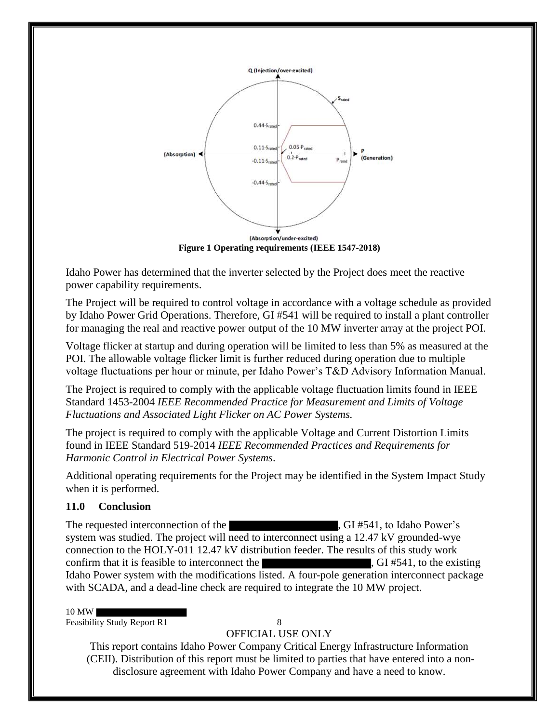

**Figure 1 Operating requirements (IEEE 1547-2018)**

Idaho Power has determined that the inverter selected by the Project does meet the reactive power capability requirements.

The Project will be required to control voltage in accordance with a voltage schedule as provided by Idaho Power Grid Operations. Therefore, GI #541 will be required to install a plant controller for managing the real and reactive power output of the 10 MW inverter array at the project POI.

Voltage flicker at startup and during operation will be limited to less than 5% as measured at the POI. The allowable voltage flicker limit is further reduced during operation due to multiple voltage fluctuations per hour or minute, per Idaho Power's T&D Advisory Information Manual.

The Project is required to comply with the applicable voltage fluctuation limits found in IEEE Standard 1453-2004 *IEEE Recommended Practice for Measurement and Limits of Voltage Fluctuations and Associated Light Flicker on AC Power Systems.* 

The project is required to comply with the applicable Voltage and Current Distortion Limits found in IEEE Standard 519-2014 *IEEE Recommended Practices and Requirements for Harmonic Control in Electrical Power Systems*.

Additional operating requirements for the Project may be identified in the System Impact Study when it is performed.

## **11.0 Conclusion**

The requested interconnection of the  $\overline{G}$ , GI #541, to Idaho Power's system was studied. The project will need to interconnect using a 12.47 kV grounded-wye connection to the HOLY-011 12.47 kV distribution feeder. The results of this study work confirm that it is feasible to interconnect the , GI #541, to the existing Idaho Power system with the modifications listed. A four-pole generation interconnect package with SCADA, and a dead-line check are required to integrate the 10 MW project.

#### 10 MW

Feasibility Study Report R1 8

OFFICIAL USE ONLY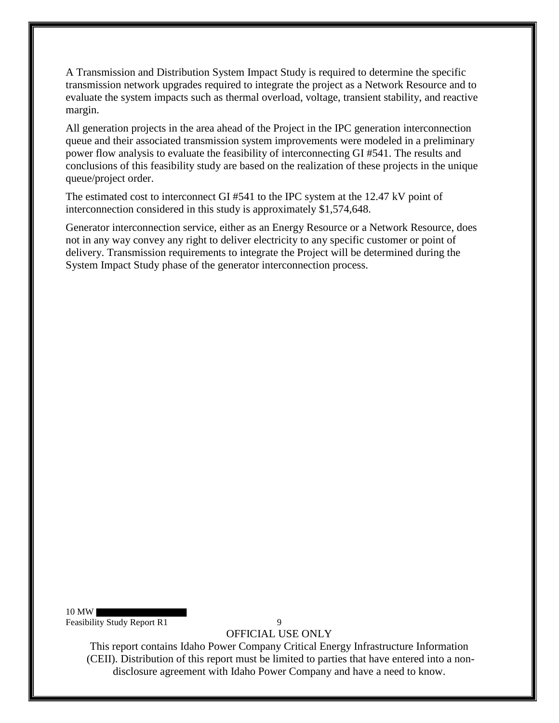A Transmission and Distribution System Impact Study is required to determine the specific transmission network upgrades required to integrate the project as a Network Resource and to evaluate the system impacts such as thermal overload, voltage, transient stability, and reactive margin.

All generation projects in the area ahead of the Project in the IPC generation interconnection queue and their associated transmission system improvements were modeled in a preliminary power flow analysis to evaluate the feasibility of interconnecting GI #541. The results and conclusions of this feasibility study are based on the realization of these projects in the unique queue/project order.

The estimated cost to interconnect GI #541 to the IPC system at the 12.47 kV point of interconnection considered in this study is approximately \$1,574,648.

Generator interconnection service, either as an Energy Resource or a Network Resource, does not in any way convey any right to deliver electricity to any specific customer or point of delivery. Transmission requirements to integrate the Project will be determined during the System Impact Study phase of the generator interconnection process.

10 MW Feasibility Study Report R1 9

OFFICIAL USE ONLY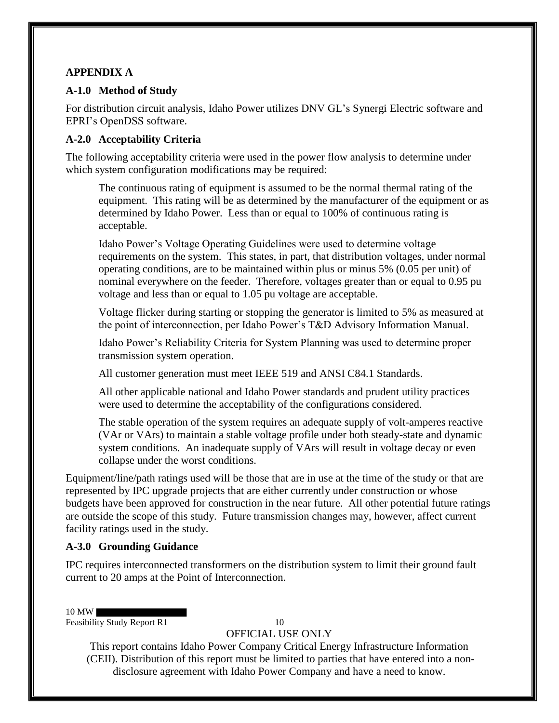## **APPENDIX A**

## **A-1.0 Method of Study**

For distribution circuit analysis, Idaho Power utilizes DNV GL's Synergi Electric software and EPRI's OpenDSS software.

## **A-2.0 Acceptability Criteria**

The following acceptability criteria were used in the power flow analysis to determine under which system configuration modifications may be required:

The continuous rating of equipment is assumed to be the normal thermal rating of the equipment. This rating will be as determined by the manufacturer of the equipment or as determined by Idaho Power. Less than or equal to 100% of continuous rating is acceptable.

Idaho Power's Voltage Operating Guidelines were used to determine voltage requirements on the system. This states, in part, that distribution voltages, under normal operating conditions, are to be maintained within plus or minus 5% (0.05 per unit) of nominal everywhere on the feeder. Therefore, voltages greater than or equal to 0.95 pu voltage and less than or equal to 1.05 pu voltage are acceptable.

Voltage flicker during starting or stopping the generator is limited to 5% as measured at the point of interconnection, per Idaho Power's T&D Advisory Information Manual.

Idaho Power's Reliability Criteria for System Planning was used to determine proper transmission system operation.

All customer generation must meet IEEE 519 and ANSI C84.1 Standards.

All other applicable national and Idaho Power standards and prudent utility practices were used to determine the acceptability of the configurations considered.

The stable operation of the system requires an adequate supply of volt-amperes reactive (VAr or VArs) to maintain a stable voltage profile under both steady-state and dynamic system conditions. An inadequate supply of VArs will result in voltage decay or even collapse under the worst conditions.

Equipment/line/path ratings used will be those that are in use at the time of the study or that are represented by IPC upgrade projects that are either currently under construction or whose budgets have been approved for construction in the near future. All other potential future ratings are outside the scope of this study. Future transmission changes may, however, affect current facility ratings used in the study.

# **A-3.0 Grounding Guidance**

IPC requires interconnected transformers on the distribution system to limit their ground fault current to 20 amps at the Point of Interconnection.

10 MW

Feasibility Study Report R1 10

OFFICIAL USE ONLY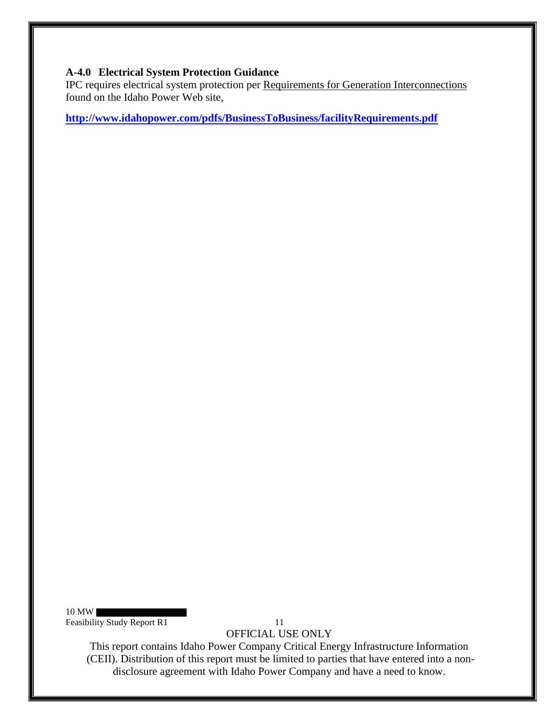### **A-4.0 Electrical System Protection Guidance**

IPC requires electrical system protection per Requirements for Generation Interconnections found on the Idaho Power Web site,

**http://www.idahopower.com/pdfs/BusinessToBusiness/facilityRequirements.pdf**

10 MW

Feasibility Study Report R1 11

OFFICIAL USE ONLY